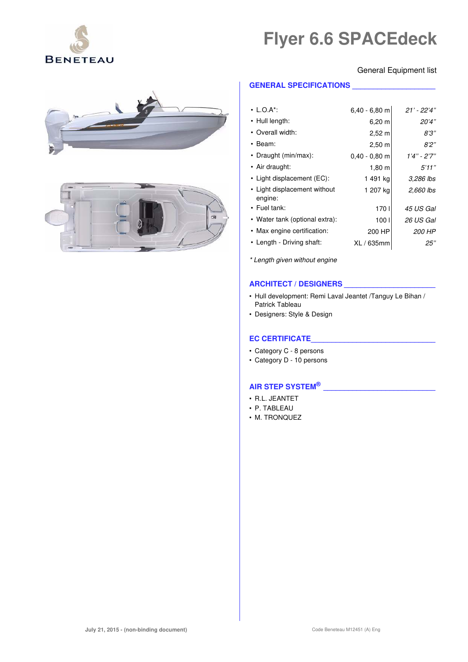

## General Equipment list





## **GENERAL SPECIFICATIONS \_\_\_\_\_\_\_\_\_\_\_\_\_\_\_\_\_\_\_\_**

| $\cdot$ L.O.A*:                         | $6,40 - 6,80$ m    | $21'$ - $22'4"$ |
|-----------------------------------------|--------------------|-----------------|
| • Hull length:                          | $6,20 \; m$        | 20'4"           |
| • Overall width:                        | $2,52 \, m$        | 8'3''           |
| • Beam:                                 | $2,50 \; m$        | 8'2"            |
| • Draught (min/max):                    | $0.40 - 0.80$ m    | 1'4" - 2'7"     |
| • Air draught:                          | $1,80 \; \text{m}$ | 5'11''          |
| • Light displacement (EC):              | 1 491 ka           | 3,286 lbs       |
| • Light displacement without<br>engine: | 1 207 kg           | 2,660 lbs       |
| $\cdot$ Fuel tank:                      | 170 <sub>1</sub>   | 45 US Gal       |
| • Water tank (optional extra):          | 100 <sub>1</sub>   | 26 US Gal       |
| • Max engine certification:             | 200 HP             | 200 HP          |
| • Length - Driving shaft:               | XL / 635mm         | 25"             |

\* Length given without engine

# **ARCHITECT / DESIGNERS \_\_\_\_\_\_\_\_\_\_\_\_\_\_\_\_\_\_\_\_\_\_**

- Hull development: Remi Laval Jeantet /Tanguy Le Bihan / Patrick Tableau
- Designers: Style & Design

## **EC CERTIFICATE\_\_\_\_\_\_\_\_\_\_\_\_\_\_\_\_\_\_\_\_\_\_\_\_\_\_\_\_\_\_**

- Category C 8 persons
- Category D 10 persons

## **AIR STEP SYSTEM® \_\_\_\_\_\_\_\_\_\_\_\_\_\_\_\_\_\_\_\_\_\_\_\_\_\_\_**

- R.L. JEANTET
- P. TABLEAU
- M. TRONQUEZ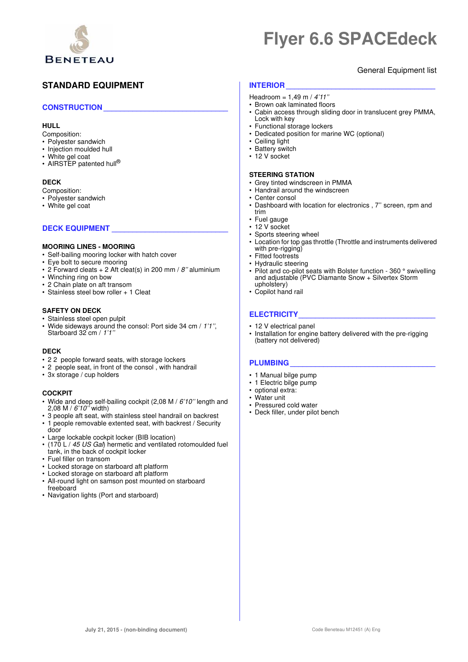

# General Equipment list

# **STANDARD EQUIPMENT**

## **CONSTRUCTION \_\_\_\_\_\_\_\_\_\_\_\_\_\_\_\_\_\_\_\_\_\_\_\_\_\_\_\_\_\_**

## **HULL**

- Composition:
- Polyester sandwich
- Injection moulded hull
- White gel coat
- AIRSTEP patented hull<sup>®</sup>

## **DECK**

- Composition:
- Polyester sandwich
- White gel coat

## DECK EQUIPMENT

## **MOORING LINES - MOORING**

- Self-bailing mooring locker with hatch cover
- Eye bolt to secure mooring
- 2 Forward cleats  $+ 2$  Aft cleat(s) in 200 mm / 8" aluminium
- Winching ring on bow
- 2 Chain plate on aft transom
- Stainless steel bow roller + 1 Cleat

### **SAFETY ON DECK**

- Stainless steel open pulpit
- Wide sideways around the consol: Port side 34 cm / 1'1", Starboard 32 cm / 1'1"

### **DECK**

- 2 2 people forward seats, with storage lockers
- 2 people seat, in front of the consol , with handrail
- 3x storage / cup holders

## **COCKPIT**

- Wide and deep self-bailing cockpit (2,08 M / 6'10" length and 2,08 M / 6'10'' width)
- 3 people aft seat, with stainless steel handrail on backrest
- 1 people removable extented seat, with backrest / Security door
- Large lockable cockpit locker (BIB location)
- (170 L / 45 US Gal) hermetic and ventilated rotomoulded fuel tank, in the back of cockpit locker
- Fuel filler on transom
- Locked storage on starboard aft platform
- Locked storage on starboard aft platform
- All-round light on samson post mounted on starboard freeboard
- Navigation lights (Port and starboard)

## **INTERIOR**

- Headroom =  $1,49$  m /  $4'11''$
- Brown oak laminated floors
- Cabin access through sliding door in translucent grey PMMA, Lock with key
- Functional storage lockers
- Dedicated position for marine WC (optional)
- Ceiling light
- Battery switch
- 12 V socket

### **STEERING STATION**

- Grey tinted windscreen in PMMA
- Handrail around the windscreen
- Center consol<br>• Dashboard with
- Dashboard with location for electronics , 7'' screen, rpm and trim
- Fuel gauge
- 12 V socket
- Sports steering wheel
- Location for top gas throttle (Throttle and instruments delivered with pre-rigging)
- Fitted footrests
- Hydraulic steering
- Pilot and co-pilot seats with Bolster function 360 ° swivelling and adjustable (PVC Diamante Snow + Silvertex Storm upholstery)
- Copilot hand rail

# **ELECTRICITY\_\_\_\_\_\_\_\_\_\_\_\_\_\_\_\_\_\_\_\_\_\_\_\_\_\_\_\_\_\_\_\_\_**

- 12 V electrical panel
- Installation for engine battery delivered with the pre-rigging (battery not delivered)

## **PLUMBING \_\_\_\_\_\_\_\_\_\_\_\_\_\_\_\_\_\_\_\_\_\_\_\_\_\_\_\_\_\_\_\_\_\_\_**

- 1 Manual bilge pump
- 1 Electric bilge pump
- optional extra:
- Water unit
- Pressured cold water
- Deck filler, under pilot bench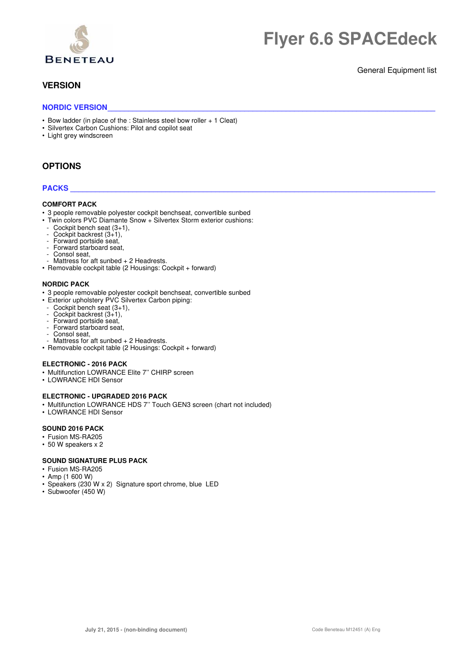

# **VERSION**

## General Equipment list

## NORDIC VERSION

- Bow ladder (in place of the : Stainless steel bow roller + 1 Cleat)
- Silvertex Carbon Cushions: Pilot and copilot seat
- Light grey windscreen

# **OPTIONS**

## **PACKS \_\_\_\_\_\_\_\_\_\_\_\_\_\_\_\_\_\_\_\_\_\_\_\_\_\_\_\_\_\_\_\_\_\_\_\_\_\_\_\_\_\_\_\_\_\_\_\_\_\_\_\_\_\_\_\_\_\_\_\_\_\_\_\_\_\_\_\_\_\_\_\_\_\_\_\_\_\_\_\_\_\_\_\_\_\_\_\_**

#### **COMFORT PACK**

- 3 people removable polyester cockpit benchseat, convertible sunbed
- Twin colors PVC Diamante Snow + Silvertex Storm exterior cushions:
- Cockpit bench seat (3+1),
- Cockpit backrest (3+1),
- Forward portside seat,
- Forward starboard seat.
- Consol seat,
- Mattress for aft sunbed + 2 Headrests.
- Removable cockpit table (2 Housings: Cockpit + forward)

#### **NORDIC PACK**

- 3 people removable polyester cockpit benchseat, convertible sunbed
- Exterior upholstery PVC Silvertex Carbon piping:
	- Cockpit bench seat  $(3+1)$ ,
- Cockpit backrest  $(3+1)$ ,
- Forward portside seat,
- Forward starboard seat,
- Consol seat,
- Mattress for aft sunbed + 2 Headrests.
- Removable cockpit table (2 Housings: Cockpit + forward)

#### **ELECTRONIC - 2016 PACK**

- Multifunction LOWRANCE Elite 7'' CHIRP screen
- LOWRANCE HDI Sensor

### **ELECTRONIC - UPGRADED 2016 PACK**

- Multifunction LOWRANCE HDS 7" Touch GEN3 screen (chart not included)
- LOWRANCE HDI Sensor

## **SOUND 2016 PACK**

- Fusion MS-RA205
- 50 W speakers x 2

#### **SOUND SIGNATURE PLUS PACK**

- Fusion MS-RA205
- Amp (1 600 W)
- Speakers (230 W x 2) Signature sport chrome, blue LED
- Subwoofer (450 W)